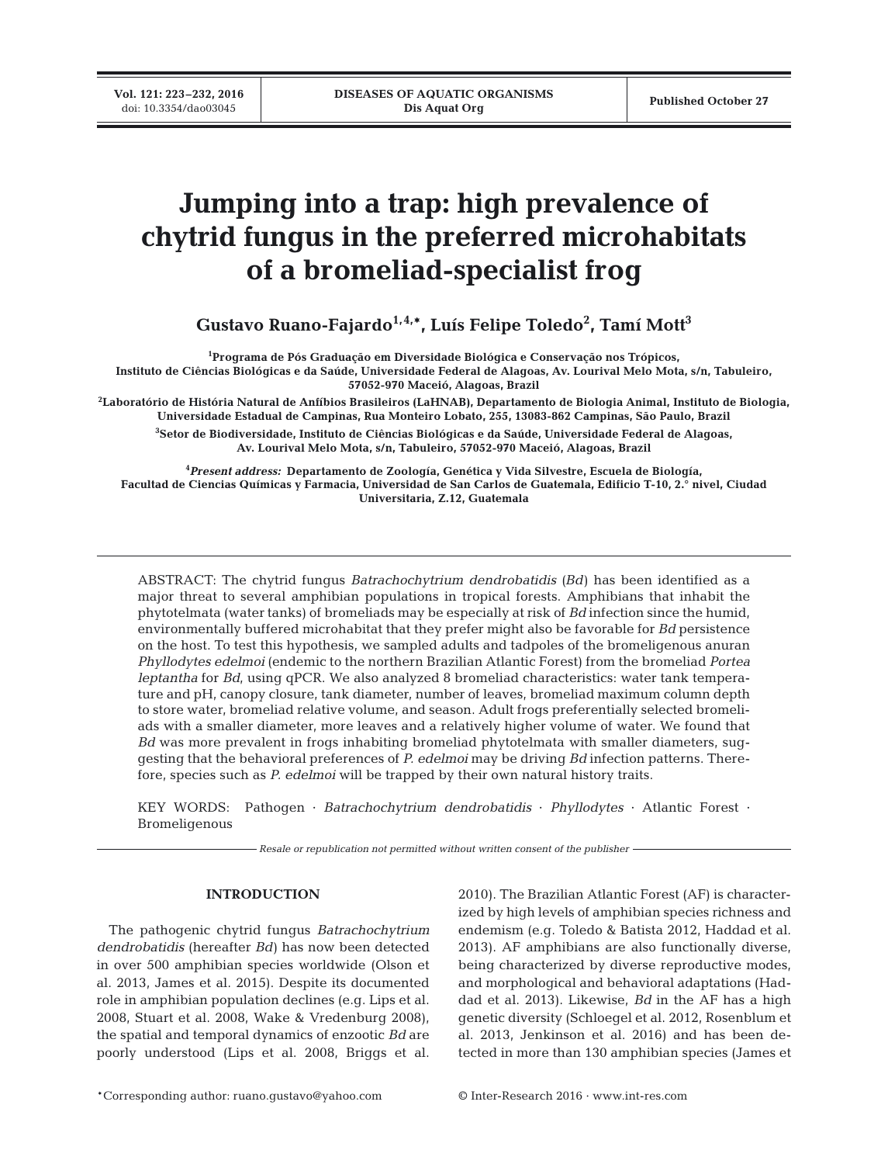# **Jumping into a trap: high prevalence of chytrid fungus in the preferred microhabitats of a bromeliad-specialist frog**

**Gustavo Ruano-Fajardo1,4,\*, Luís Felipe Toledo2 , Tamí Mott3**

**1 Programa de Pós Graduação em Diversidade Biológica e Conservação nos Trópicos, Instituto de Ciências Biológicas e da Saúde, Universidade Federal de Alagoas, Av. Lourival Melo Mota, s/n, Tabuleiro, 57052-970 Maceió, Alagoas, Brazil**

**2 Laboratório de História Natural de Anfíbios Brasileiros (LaHNAB), Departamento de Biologia Animal, Instituto de Biologia, Universidade Estadual de Campinas, Rua Monteiro Lobato, 255, 13083-862 Campinas, São Paulo, Brazil**

**3 Setor de Biodiversidade, Instituto de Ciências Biológicas e da Saúde, Universidade Federal de Alagoas, Av. Lourival Melo Mota, s/n, Tabuleiro, 57052-970 Maceió, Alagoas, Brazil**

**4** *Present address:* **Departamento de Zoología, Genética y Vida Silvestre, Escuela de Biología, Facultad de Ciencias Químicas y Farmacia, Universidad de San Carlos de Guatemala, Edificio T-10, 2.° nivel, Ciudad Universitaria, Z.12, Guatemala**

ABSTRACT: The chytrid fungus *Batrachochytrium dendrobatidis* (*Bd*) has been identified as a major threat to several amphibian populations in tropical forests. Amphibians that inhabit the phytotelmata (water tanks) of bromeliads may be especially at risk of *Bd* infection since the humid, environmentally buffered microhabitat that they prefer might also be favorable for *Bd* persistence on the host. To test this hypothesis, we sampled adults and tadpoles of the bromeligenous anuran *Phyllodytes edelmoi* (endemic to the northern Brazilian Atlantic Forest) from the bromeliad *Portea leptantha* for *Bd*, using qPCR. We also analyzed 8 bromeliad characteristics: water tank temperature and pH, canopy closure, tank diameter, number of leaves, bromeliad maximum column depth to store water, bromeliad relative volume, and season. Adult frogs preferentially selected bromeliads with a smaller diameter, more leaves and a relatively higher volume of water. We found that *Bd* was more prevalent in frogs inhabiting bromeliad phytotelmata with smaller diameters, suggesting that the behavioral preferences of *P. edelmoi* may be driving *Bd* infection patterns. Therefore, species such as *P. edelmoi* will be trapped by their own natural history traits.

KEY WORDS: Pathogen · *Batrachochytrium dendrobatidis* · *Phyllodytes* · Atlantic Forest · Bromeligenous

*Resale or republication not permitted without written consent of the publisher*

# **INTRODUCTION**

The pathogenic chytrid fungus *Batrachochytrium dendrobatidis* (hereafter *Bd*) has now been detected in over 500 amphibian species worldwide (Olson et al. 2013, James et al. 2015). Despite its documented role in amphibian population declines (e.g. Lips et al. 2008, Stuart et al. 2008, Wake & Vredenburg 2008), the spatial and temporal dynamics of enzootic *Bd* are poorly understood (Lips et al. 2008, Briggs et al.

2010). The Brazilian Atlantic Forest (AF) is characterized by high levels of amphibian species richness and endemism (e.g. Toledo & Batista 2012, Haddad et al. 2013). AF amphibians are also functionally diverse, being characterized by diverse reproductive modes, and morphological and behavioral adaptations (Haddad et al. 2013). Likewise, *Bd* in the AF has a high genetic diversity (Schloegel et al. 2012, Rosenblum et al. 2013, Jenkinson et al. 2016) and has been detected in more than 130 amphibian species (James et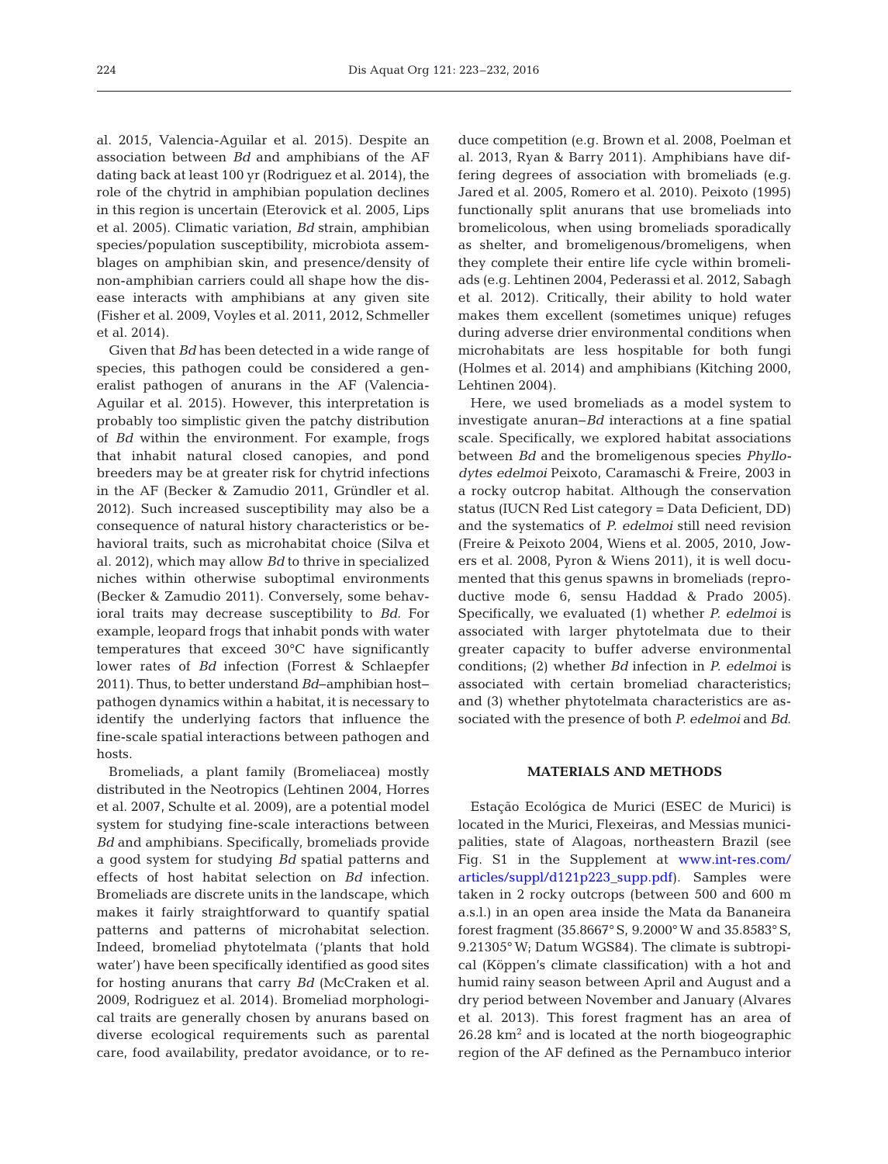al. 2015, Valencia-Aguilar et al. 2015). Despite an association between *Bd* and amphibians of the AF dating back at least 100 yr (Rodriguez et al. 2014), the role of the chytrid in amphibian population declines in this region is uncertain (Eterovick et al. 2005, Lips et al. 2005). Climatic variation, *Bd* strain, amphibian species/population susceptibility, microbiota assemblages on amphibian skin, and presence/density of non-amphibian carriers could all shape how the disease interacts with amphibians at any given site (Fisher et al. 2009, Voyles et al. 2011, 2012, Schmeller et al. 2014).

Given that *Bd* has been detected in a wide range of species, this pathogen could be considered a generalist pathogen of anurans in the AF (Valencia-Aguilar et al. 2015). However, this interpretation is probably too simplistic given the patchy distribution of *Bd* within the environment. For example, frogs that inhabit natural closed canopies, and pond breeders may be at greater risk for chytrid infections in the AF (Becker & Zamudio 2011, Gründler et al. 2012). Such increased susceptibility may also be a consequence of natural history characteristics or be havioral traits, such as microhabitat choice (Silva et al. 2012), which may allow *Bd* to thrive in specialized niches within otherwise suboptimal environments (Becker & Zamudio 2011). Conversely, some behavioral traits may decrease susceptibility to *Bd*. For example, leopard frogs that inhabit ponds with water temperatures that exceed 30°C have significantly lower rates of *Bd* infection (Forrest & Schlaepfer 2011). Thus, to better understand *Bd*−amphibian host− pathogen dynamics within a habitat, it is necessary to identify the underlying factors that influence the fine-scale spatial interactions between pathogen and hosts.

Bromeliads, a plant family (Bromeliacea) mostly distributed in the Neotropics (Lehtinen 2004, Horres et al. 2007, Schulte et al. 2009), are a potential model system for studying fine-scale interactions between *Bd* and amphibians. Specifically, bromeliads provide a good system for studying *Bd* spatial patterns and effects of host habitat selection on *Bd* infection. Bromeliads are discrete units in the landscape, which makes it fairly straightforward to quantify spatial patterns and patterns of microhabitat selection. Indeed, bromeliad phytotelmata ('plants that hold water') have been specifically identified as good sites for hosting anurans that carry *Bd* (McCraken et al. 2009, Rodriguez et al. 2014). Bromeliad morphological traits are generally chosen by anurans based on diverse ecological requirements such as parental care, food availability, predator avoidance, or to reduce competition (e.g. Brown et al. 2008, Poelman et al. 2013, Ryan & Barry 2011). Amphibians have differing degrees of association with bromeliads (e.g. Jared et al. 2005, Romero et al. 2010). Peixoto (1995) functionally split anurans that use bromeliads into bromelicolous, when using bromeliads sporadically as shelter, and bromeligenous/bromeligens, when they complete their entire life cycle within bromeliads (e.g. Lehtinen 2004, Pederassi et al. 2012, Sabagh et al. 2012). Critically, their ability to hold water makes them excellent (sometimes unique) refuges during adverse drier environmental conditions when microhabitats are less hospitable for both fungi (Holmes et al. 2014) and amphibians (Kitching 2000, Lehtinen 2004).

Here, we used bromeliads as a model system to investigate anuran−*Bd* interactions at a fine spatial scale. Specifically, we explored habitat associations between *Bd* and the bromeligenous species *Phyllo dytes edelmoi* Peixoto, Caramaschi & Freire, 2003 in a rocky outcrop habitat. Although the conservation status (IUCN Red List category = Data Deficient, DD) and the systematics of *P. edelmoi* still need revision (Freire & Peixoto 2004, Wiens et al. 2005, 2010, Jowers et al. 2008, Pyron & Wiens 2011), it is well documented that this genus spawns in bromeliads (reproductive mode 6, sensu Haddad & Prado 2005). Specifically, we evaluated (1) whether *P. edelmoi* is associated with larger phytotelmata due to their greater capacity to buffer adverse environmental conditions; (2) whether *Bd* infection in *P. edelmoi* is associated with certain bromeliad characteristics; and (3) whether phytotelmata characteristics are as sociated with the presence of both *P. edelmoi* and *Bd*.

## **MATERIALS AND METHODS**

Estação Ecológica de Murici (ESEC de Murici) is located in the Murici, Flexeiras, and Messias municipalities, state of Alagoas, northeastern Brazil (see Fig. S1 in the Supplement at [www.int-res.com/](http://www.int-res.com/articles/suppl/d121p173_supp.pdf) articles/suppl/d121p223\_supp.pdf). Samples were taken in 2 rocky outcrops (between 500 and 600 m a.s.l.) in an open area inside the Mata da Bananeira forest fragment (35.8667° S, 9.2000° W and 35.8583° S, 9.21305° W; Datum WGS84). The climate is subtropical (Köppen's climate classification) with a hot and humid rainy season between April and August and a dry period between November and January (Alvares et al. 2013). This forest fragment has an area of  $26.28 \text{ km}^2$  and is located at the north biogeographic region of the AF defined as the Pernambuco interior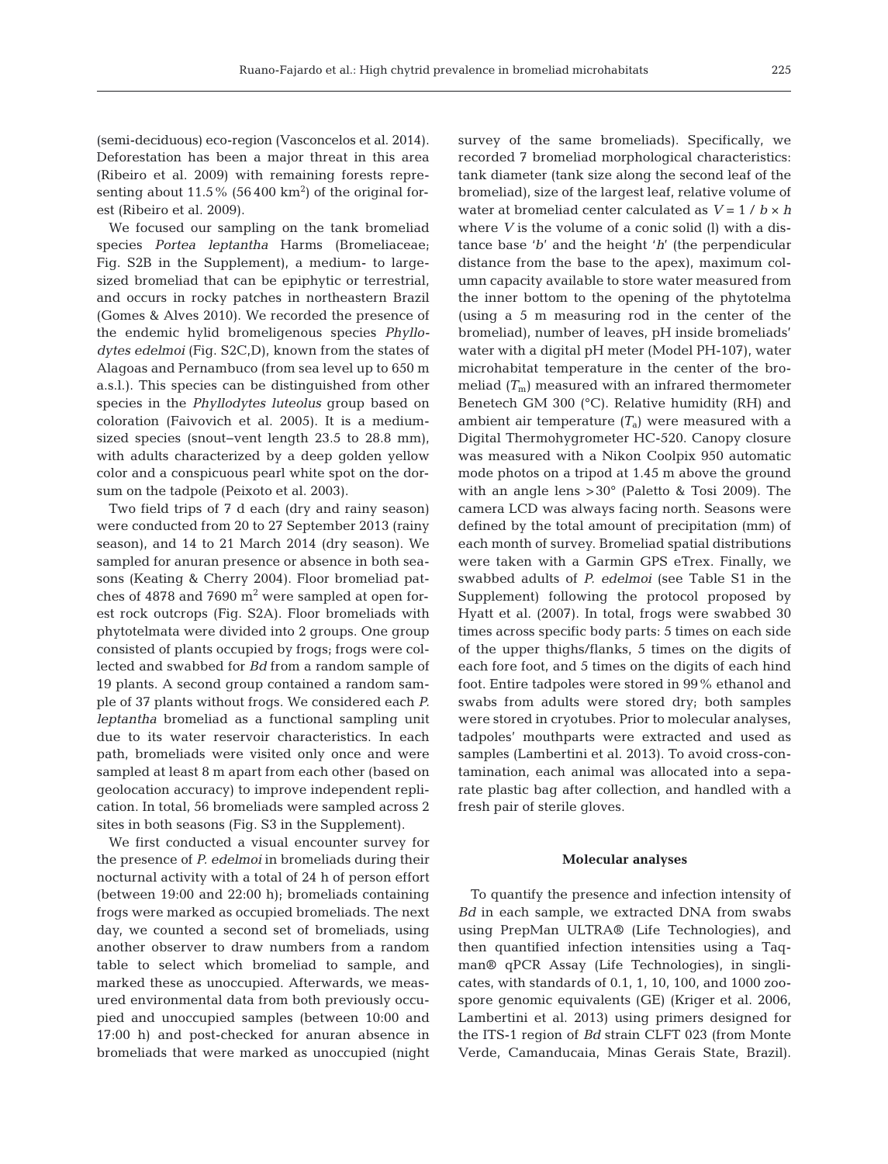(semi-deciduous) eco-region (Vasconcelos et al. 2014). Deforestation has been a major threat in this area (Ribeiro et al. 2009) with remaining forests representing about  $11.5\%$  (56400 km<sup>2</sup>) of the original forest (Ribeiro et al. 2009).

We focused our sampling on the tank bromeliad spe cies *Portea leptantha* Harms (Bromeliaceae; Fig. S2B in the Supplement), a medium- to largesized bromeliad that can be epiphytic or terrestrial, and occurs in rocky patches in northeastern Brazil (Gomes & Alves 2010). We recorded the presence of the endemic hylid bromeligenous species *Phyllo dytes edelmoi* (Fig. S2C,D), known from the states of Alagoas and Pernambuco (from sea level up to 650 m a.s.l.). This species can be distinguished from other species in the *Phyllodytes luteolus* group based on coloration (Faivovich et al. 2005). It is a mediumsized species (snout−vent length 23.5 to 28.8 mm), with adults characterized by a deep golden yellow color and a conspicuous pearl white spot on the dorsum on the tadpole (Peixoto et al. 2003).

Two field trips of 7 d each (dry and rainy season) were conducted from 20 to 27 September 2013 (rainy season), and 14 to 21 March 2014 (dry season). We sampled for anuran presence or absence in both seasons (Keating & Cherry 2004). Floor bromeliad patches of 4878 and 7690  $m<sup>2</sup>$  were sampled at open forest rock outcrops (Fig. S2A). Floor bromeliads with phytotelmata were divided into 2 groups. One group consisted of plants occupied by frogs; frogs were collected and swabbed for *Bd* from a random sample of 19 plants. A second group contained a random sample of 37 plants without frogs. We considered each *P. leptantha* bromeliad as a functional sampling unit due to its water reservoir characteristics. In each path, bromeliads were visited only once and were sampled at least 8 m apart from each other (based on geolocation accuracy) to improve independent replication. In total, 56 bromeliads were sampled across 2 sites in both seasons (Fig. S3 in the Supplement).

We first conducted a visual encounter survey for the presence of *P. edelmoi* in bromeliads during their nocturnal activity with a total of 24 h of person effort (between 19:00 and 22:00 h); bromeliads containing frogs were marked as occupied bromeliads. The next day, we counted a second set of bromeliads, using another observer to draw numbers from a random table to select which bromeliad to sample, and marked these as unoccupied. Afterwards, we measured environmental data from both previously occupied and unoccupied samples (between 10:00 and 17:00 h) and post-checked for anuran absence in bromeliads that were marked as unoccupied (night survey of the same bromeliads). Specifically, we recorded 7 bromeliad morphological characteristics: tank diameter (tank size along the second leaf of the bromeliad), size of the largest leaf, relative volume of water at bromeliad center calculated as *V* = 1 / *b* × *h* where *V* is the volume of a conic solid (l) with a distance base '*b*' and the height '*h*' (the perpendicular distance from the base to the apex), maximum column capacity available to store water measured from the inner bottom to the opening of the phytotelma (using a 5 m measuring rod in the center of the bromeliad), number of leaves, pH inside bromeliads' water with a digital pH meter (Model PH-107), water microhabitat temperature in the center of the bromeliad  $(T<sub>m</sub>)$  measured with an infrared thermometer Benetech GM 300 (°C). Relative humidity (RH) and ambient air temperature  $(T_a)$  were measured with a Digital Thermohygrometer HC-520. Canopy closure was measured with a Nikon Coolpix 950 automatic mode photos on a tripod at 1.45 m above the ground with an angle lens >30° (Paletto & Tosi 2009). The camera LCD was always facing north. Seasons were defined by the total amount of precipitation (mm) of each month of survey. Bromeliad spatial distributions were taken with a Garmin GPS eTrex. Finally, we swabbed adults of *P. edelmoi* (see Table S1 in the Supplement) following the protocol proposed by Hyatt et al. (2007). In total, frogs were swabbed 30 times across specific body parts: 5 times on each side of the upper thighs/flanks, 5 times on the digits of each fore foot, and 5 times on the digits of each hind foot. Entire tadpoles were stored in 99% ethanol and swabs from adults were stored dry; both samples were stored in cryotubes. Prior to molecular analyses, tadpoles' mouthparts were extracted and used as samples (Lambertini et al. 2013). To avoid cross-contamination, each animal was allocated into a separate plastic bag after collection, and handled with a fresh pair of sterile gloves.

### **Molecular analyses**

To quantify the presence and infection intensity of *Bd* in each sample, we extracted DNA from swabs using PrepMan ULTRA® (Life Technologies), and then quantified infection intensities using a Taqman® qPCR Assay (Life Technologies), in singlicates, with standards of 0.1, 1, 10, 100, and 1000 zoospore genomic equivalents (GE) (Kriger et al. 2006, Lambertini et al. 2013) using primers designed for the ITS-1 region of *Bd* strain CLFT 023 (from Monte Verde, Camanducaia, Minas Gerais State, Brazil).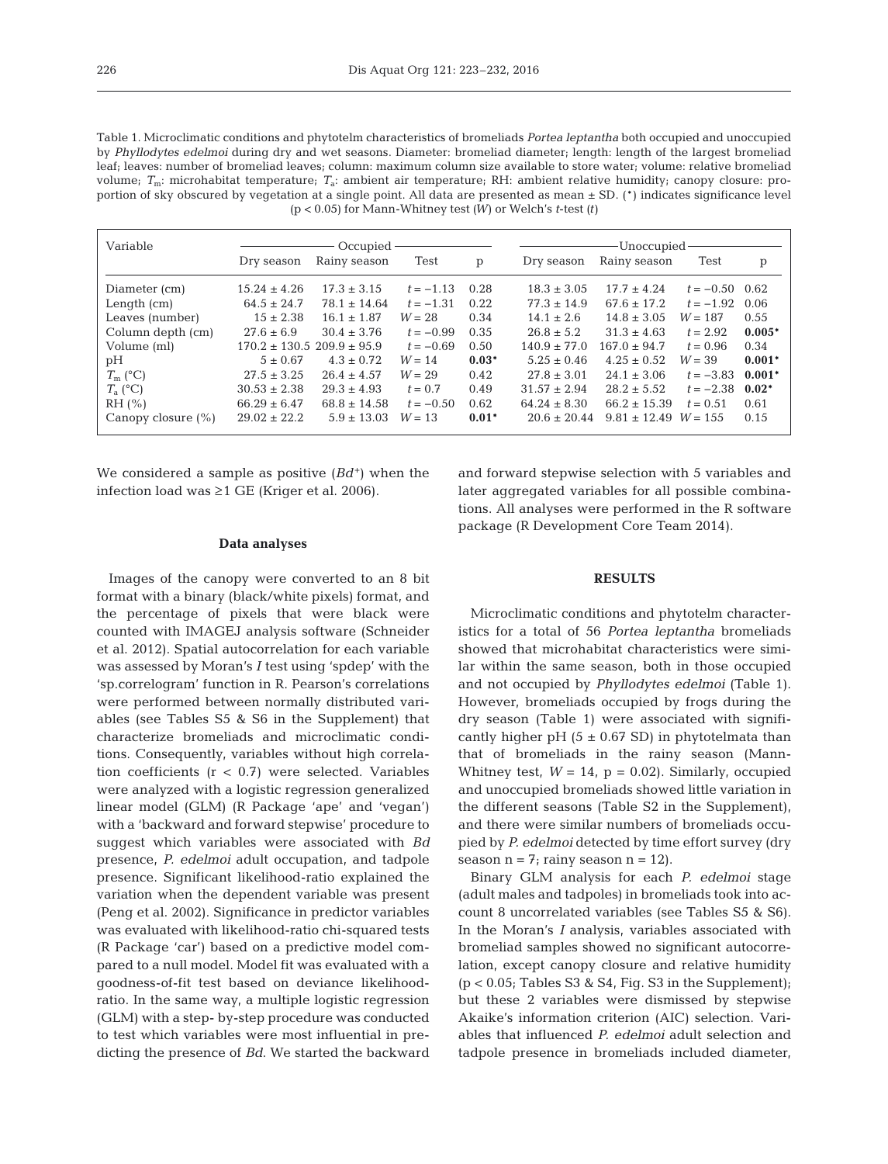| Table 1. Microclimatic conditions and phytotelm characteristics of bromeliads <i>Portea leptantha</i> both occupied and unoccupied |
|------------------------------------------------------------------------------------------------------------------------------------|
| by Phyllodytes edelmoi during dry and wet seasons. Diameter: bromeliad diameter; length: length of the largest bromeliad           |
| leaf; leaves: number of bromeliad leaves; column: maximum column size available to store water; volume: relative bromeliad         |
| volume; $T_m$ : microhabitat temperature; $T_a$ : ambient air temperature; RH: ambient relative humidity; canopy closure: pro-     |
| portion of sky obscured by vegetation at a single point. All data are presented as mean $\pm$ SD. (*) indicates significance level |
| $(p < 0.05)$ for Mann-Whitney test $(W)$ or Welch's <i>t</i> -test $(t)$                                                           |

| Variable               | Occupied -                         |                  |             | Unoccupied- |                  |                  |                  |          |
|------------------------|------------------------------------|------------------|-------------|-------------|------------------|------------------|------------------|----------|
|                        | Dry season                         | Rainy season     | Test        | p           | Dry season       | Rainy season     | Test             | p        |
| Diameter (cm)          | $15.24 \pm 4.26$                   | $17.3 \pm 3.15$  | $t = -1.13$ | 0.28        | $18.3 \pm 3.05$  | $17.7 \pm 4.24$  | $t = -0.50$ 0.62 |          |
| Length $(cm)$          | $64.5 \pm 24.7$                    | $78.1 \pm 14.64$ | $t = -1.31$ | 0.22        | $77.3 \pm 14.9$  | $67.6 \pm 17.2$  | $t = -1.92$      | 0.06     |
| Leaves (number)        | $15 \pm 2.38$                      | $16.1 \pm 1.87$  | $W = 28$    | 0.34        | $14.1 \pm 2.6$   | $14.8 \pm 3.05$  | $W = 187$        | 0.55     |
| Column depth (cm)      | $27.6 \pm 6.9$                     | $30.4 \pm 3.76$  | $t = -0.99$ | 0.35        | $26.8 \pm 5.2$   | $31.3 \pm 4.63$  | $t = 2.92$       | $0.005*$ |
| Volume (ml)            | $170.2 \pm 130.5$ 209.9 $\pm$ 95.9 |                  | $t = -0.69$ | 0.50        | $140.9 \pm 77.0$ | $167.0 \pm 94.7$ | $t = 0.96$       | 0.34     |
| pH                     | $5 \pm 0.67$                       | $4.3 \pm 0.72$   | $W = 14$    | $0.03*$     | $5.25 \pm 0.46$  | $4.25 \pm 0.52$  | $W = 39$         | $0.001*$ |
| $T_{\rm m}$ (°C)       | $27.5 \pm 3.25$                    | $26.4 \pm 4.57$  | $W = 29$    | 0.42        | $27.8 \pm 3.01$  | $24.1 \pm 3.06$  | $t = -3.83$      | $0.001*$ |
| $T_{\rm a}$ (°C)       | $30.53 \pm 2.38$                   | $29.3 \pm 4.93$  | $t = 0.7$   | 0.49        | $31.57 \pm 2.94$ | $28.2 \pm 5.52$  | $t = -2.38$      | $0.02*$  |
| RH (%)                 | $66.29 \pm 6.47$                   | $68.8 \pm 14.58$ | $t = -0.50$ | 0.62        | $64.24 \pm 8.30$ | $66.2 \pm 15.39$ | $t = 0.51$       | 0.61     |
| Canopy closure $(\% )$ | $29.02 \pm 22.2$                   | $5.9 \pm 13.03$  | $W = 13$    | $0.01*$     | $20.6 \pm 20.44$ | $9.81 \pm 12.49$ | $W = 1.5.5$      | 0.15     |

We considered a sample as positive  $(Bd^+)$  when the infection load was ≥1 GE (Kriger et al. 2006).

## **Data analyses**

Images of the canopy were converted to an 8 bit format with a binary (black/white pixels) format, and the percentage of pixels that were black were counted with IMAGEJ analysis software (Schneider et al. 2012). Spatial autocorrelation for each variable was assessed by Moran's *I* test using 'spdep' with the 'sp.correlogram' function in R. Pearson's correlations were performed between normally distributed variables (see Tables S5 & S6 in the Supplement) that characterize bromeliads and microclimatic conditions. Consequently, variables without high correlation coefficients  $(r < 0.7)$  were selected. Variables were analyzed with a logistic regression generalized linear model (GLM) (R Package 'ape' and 'vegan') with a 'backward and forward stepwise' procedure to suggest which variables were associated with *Bd* presence, *P. edelmoi* adult occupation, and tadpole presence. Significant likelihood-ratio explained the variation when the dependent variable was present (Peng et al. 2002). Significance in predictor variables was evaluated with likelihood-ratio chi-squared tests (R Package 'car') based on a predictive model compared to a null model. Model fit was evaluated with a goodness-of-fit test based on deviance likelihoodratio. In the same way, a multiple logistic regression (GLM) with a step- by-step procedure was conducted to test which variables were most influential in predicting the presence of *Bd*. We started the backward

and forward stepwise selection with 5 variables and later aggregated variables for all possible combinations. All analyses were performed in the R software package (R Development Core Team 2014).

## **RESULTS**

Microclimatic conditions and phytotelm characteristics for a total of 56 *Portea leptantha* bromeliads showed that microhabitat characteristics were similar within the same season, both in those occupied and not occupied by *Phyllodytes edelmoi* (Table 1). However, bromeliads occupied by frogs during the dry season (Table 1) were associated with significantly higher pH  $(5 \pm 0.67 \text{ SD})$  in phytotelmata than that of bromeliads in the rainy season (Mann-Whitney test,  $W = 14$ ,  $p = 0.02$ ). Similarly, occupied and unoccupied bromeliads showed little variation in the different seasons (Table S2 in the Supplement), and there were similar numbers of bromeliads occupied by *P. edelmoi* detected by time effort survey (dry season  $n = 7$ ; rainy season  $n = 12$ ).

Binary GLM analysis for each *P. edelmoi* stage (adult males and tadpoles) in bromeliads took into account 8 uncorrelated variables (see Tables S5 & S6). In the Moran's *I* analysis, variables associated with bromeliad samples showed no significant autocorrelation, except canopy closure and relative humidity  $(p < 0.05;$  Tables S3 & S4, Fig. S3 in the Supplement); but these 2 variables were dismissed by stepwise Akaike's information criterion (AIC) selection. Variables that influenced *P. edelmoi* adult selection and tadpole presence in bromeliads included diameter,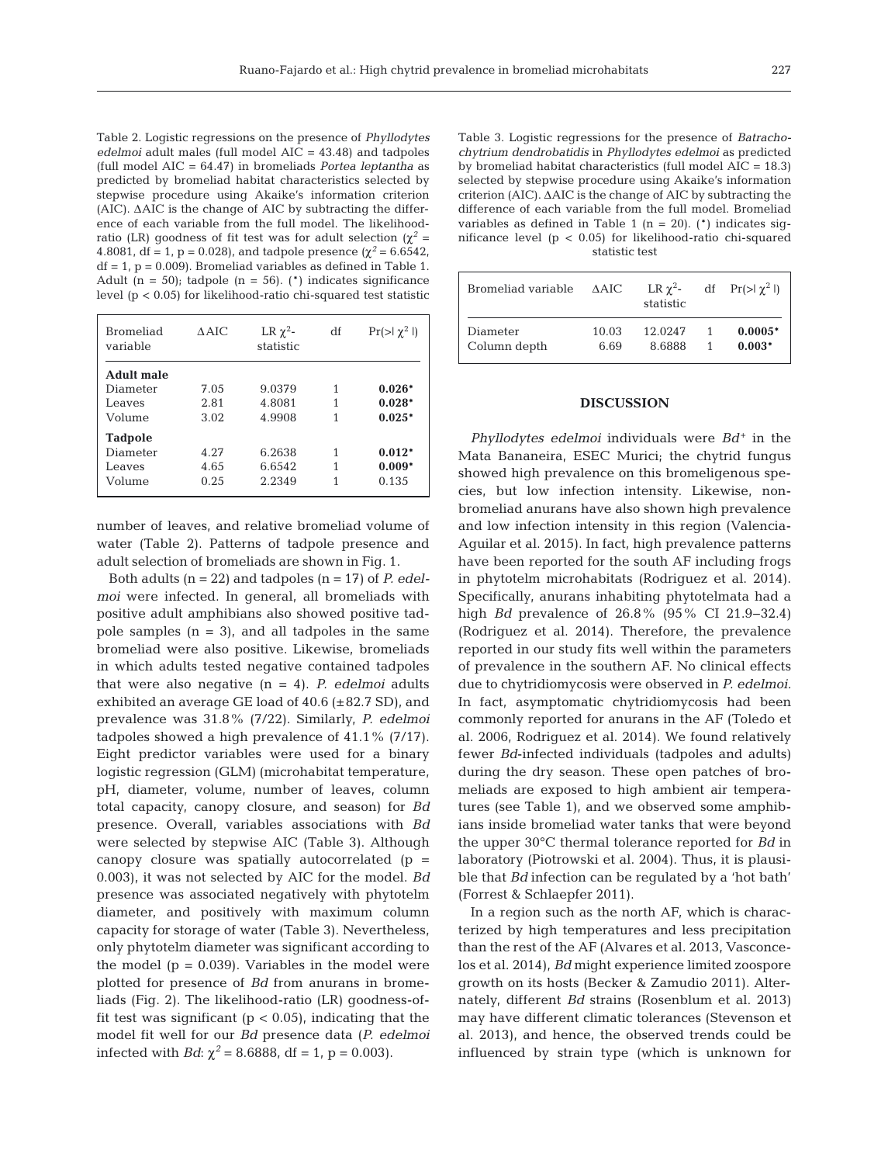Table 2. Logistic regressions on the presence of *Phyllodytes edelmoi* adult males (full model AIC = 43.48) and tadpoles (full model AIC = 64.47) in bromeliads *Portea leptantha* as predicted by bromeliad habitat characteristics selected by stepwise procedure using Akaike's information criterion (AIC). ΔAIC is the change of AIC by subtracting the difference of each variable from the full model. The likelihoodratio (LR) goodness of fit test was for adult selection ( $χ² =$ 4.8081, df = 1, p = 0.028), and tadpole presence  $(\chi^2 = 6.6542)$ ,  $df = 1$ ,  $p = 0.009$ . Bromeliad variables as defined in Table 1. Adult ( $n = 50$ ); tadpole ( $n = 56$ ). (\*) indicates significance level ( $p < 0.05$ ) for likelihood-ratio chi-squared test statistic

| Bromeliad<br>variable | AAIC | LR $\chi^2$ -<br>statistic | df | $Pr(>\frac{1}{2}$ ] |
|-----------------------|------|----------------------------|----|---------------------|
| <b>Adult male</b>     |      |                            |    |                     |
| Diameter              | 7.05 | 9.0379                     | 1  | $0.026*$            |
| Leaves                | 2.81 | 4.8081                     | 1  | $0.028*$            |
| Volume                | 3.02 | 4.9908                     | 1  | $0.025*$            |
| <b>Tadpole</b>        |      |                            |    |                     |
| Diameter              | 4.27 | 6.2638                     | 1  | $0.012*$            |
| Leaves                | 4.65 | 6.6542                     | 1  | $0.009*$            |
| Volume                | 0.25 | 2.2349                     |    | 0.135               |
|                       |      |                            |    |                     |

number of leaves, and relative bromeliad volume of water (Table 2). Patterns of tadpole presence and adult selection of bromeliads are shown in Fig. 1.

Both adults (n = 22) and tadpoles (n = 17) of *P. edelmoi* were infected. In general, all bromeliads with positive adult amphibians also showed positive tadpole samples  $(n = 3)$ , and all tadpoles in the same bromeliad were also positive. Likewise, bromeliads in which adults tested negative contained tadpoles that were also negative (n = 4). *P. edelmoi* adults exhibited an average GE load of 40.6 (±82.7 SD), and prevalence was 31.8% (7/22). Similarly, *P. edelmoi* tadpoles showed a high prevalence of 41.1% (7/17). Eight predictor variables were used for a binary logistic regression (GLM) (microhabitat temperature, pH, diameter, volume, number of leaves, column total capacity, canopy closure, and season) for *Bd* presence. Overall, variables associations with *Bd* were selected by stepwise AIC (Table 3). Although canopy closure was spatially autocorrelated (p = 0.003), it was not selected by AIC for the model. *Bd* presence was associated negatively with phytotelm diameter, and positively with maximum column capacity for storage of water (Table 3). Nevertheless, only phytotelm diameter was significant according to the model  $(p = 0.039)$ . Variables in the model were plotted for presence of *Bd* from anurans in bromeliads (Fig. 2). The likelihood-ratio (LR) goodness-offit test was significant ( $p < 0.05$ ), indicating that the model fit well for our *Bd* presence data (*P. edelmoi* infected with *Bd*:  $\chi^2 = 8.6888$ , df = 1, p = 0.003).

Table 3. Logistic regressions for the presence of *Batracho chytrium dendrobatidis* in *Phyllodytes edelmoi* as predicted by bromeliad habitat characteristics (full model AIC = 18.3) selected by stepwise procedure using Akaike's information criterion (AIC). ΔAIC is the change of AIC by subtracting the difference of each variable from the full model. Bromeliad variables as defined in Table 1 ( $n = 20$ ). (\*) indicates significance level (p < 0.05) for likelihood-ratio chi-squared statistic test

| Bromeliad variable | ΔAIC  | LR $\gamma^2$ -<br>statistic | df $Pr(>\mid \chi^2 \mid)$ |
|--------------------|-------|------------------------------|----------------------------|
| Diameter           | 10.03 | 12.0247                      | $0.0005*$                  |
| Column depth       | 6.69  | 8.6888                       | $0.003*$                   |

### **DISCUSSION**

*Phyllodytes edelmoi* individuals were *Bd*<sup>+</sup> in the Mata Bananeira, ESEC Murici; the chytrid fungus showed high prevalence on this bromeligenous species, but low infection intensity. Likewise, nonbromeliad anurans have also shown high prevalence and low infection intensity in this region (Valencia-Aguilar et al. 2015). In fact, high prevalence patterns have been reported for the south AF including frogs in phytotelm microhabitats (Rodriguez et al. 2014). Specifically, anurans inhabiting phytotelmata had a high *Bd* prevalence of 26.8% (95% CI 21.9−32.4) (Rodriguez et al. 2014). Therefore, the prevalence reported in our study fits well within the parameters of prevalence in the southern AF. No clinical effects due to chytridiomycosis were observed in *P. edelmoi.* In fact, asymptomatic chytridiomycosis had been commonly reported for anurans in the AF (Toledo et al. 2006, Rodriguez et al. 2014). We found relatively fewer *Bd*-infected individuals (tadpoles and adults) during the dry season. These open patches of bromeliads are exposed to high ambient air temperatures (see Table 1), and we observed some amphibians inside bromeliad water tanks that were beyond the upper 30°C thermal tolerance reported for *Bd* in laboratory (Piotrowski et al. 2004). Thus, it is plausible that *Bd* infection can be regulated by a 'hot bath' (Forrest & Schlaepfer 2011).

In a region such as the north AF, which is characterized by high temperatures and less precipitation than the rest of the AF (Alvares et al. 2013, Vasconcelos et al. 2014), *Bd* might experience limited zoospore growth on its hosts (Becker & Zamudio 2011). Alternately, different *Bd* strains (Rosenblum et al. 2013) may have different climatic tolerances (Stevenson et al. 2013), and hence, the observed trends could be influenced by strain type (which is unknown for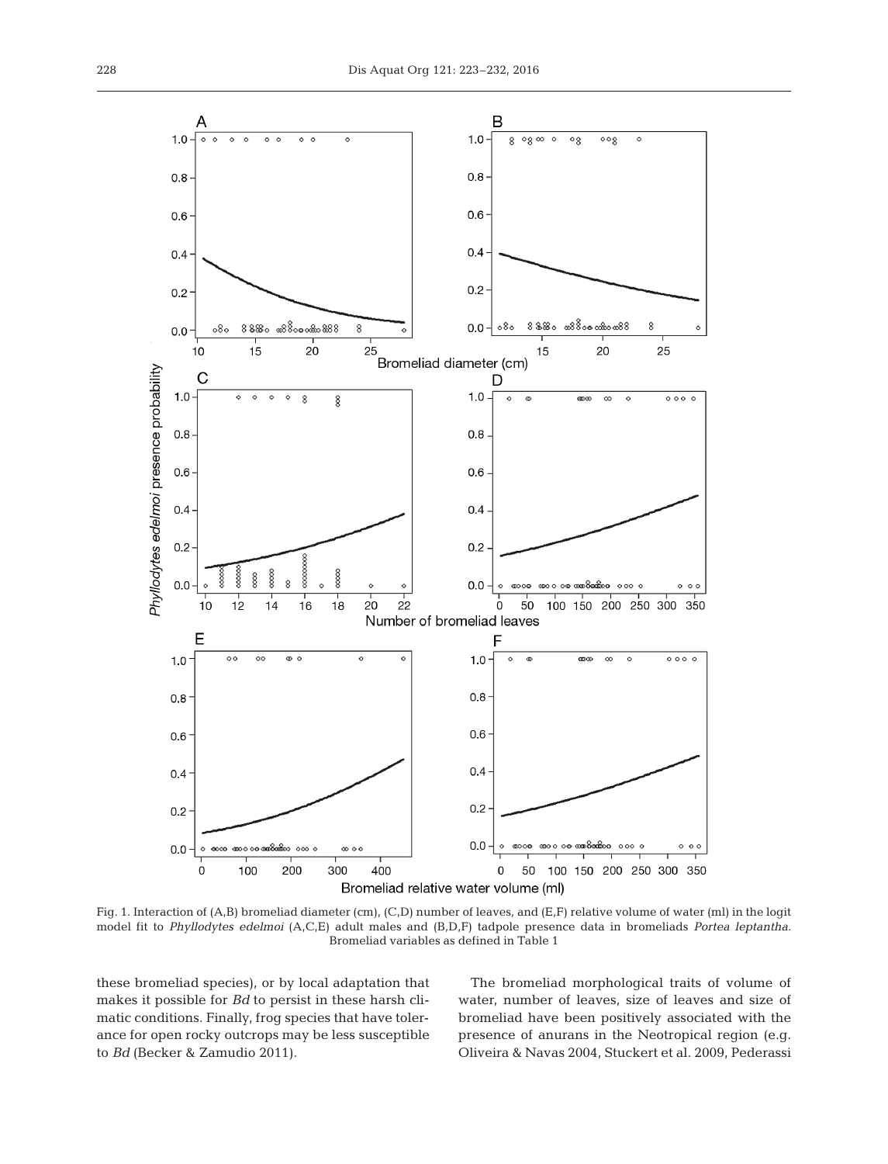

Fig. 1. Interaction of (A,B) bromeliad diameter (cm), (C,D) number of leaves, and (E,F) relative volume of water (ml) in the logit model fit to *Phyllodytes edelmoi* (A,C,E) adult males and (B,D,F) tadpole presence data in bromeliads *Portea leptantha*. Bromeliad variables as defined in Table 1

these bromeliad species), or by local adaptation that makes it possible for *Bd* to persist in these harsh climatic conditions. Finally, frog species that have tolerance for open rocky outcrops may be less susceptible to *Bd* (Becker & Zamudio 2011).

The bromeliad morphological traits of volume of water, number of leaves, size of leaves and size of bromeliad have been positively associated with the presence of anurans in the Neotropical region (e.g. Oliveira & Navas 2004, Stuckert et al. 2009, Pederassi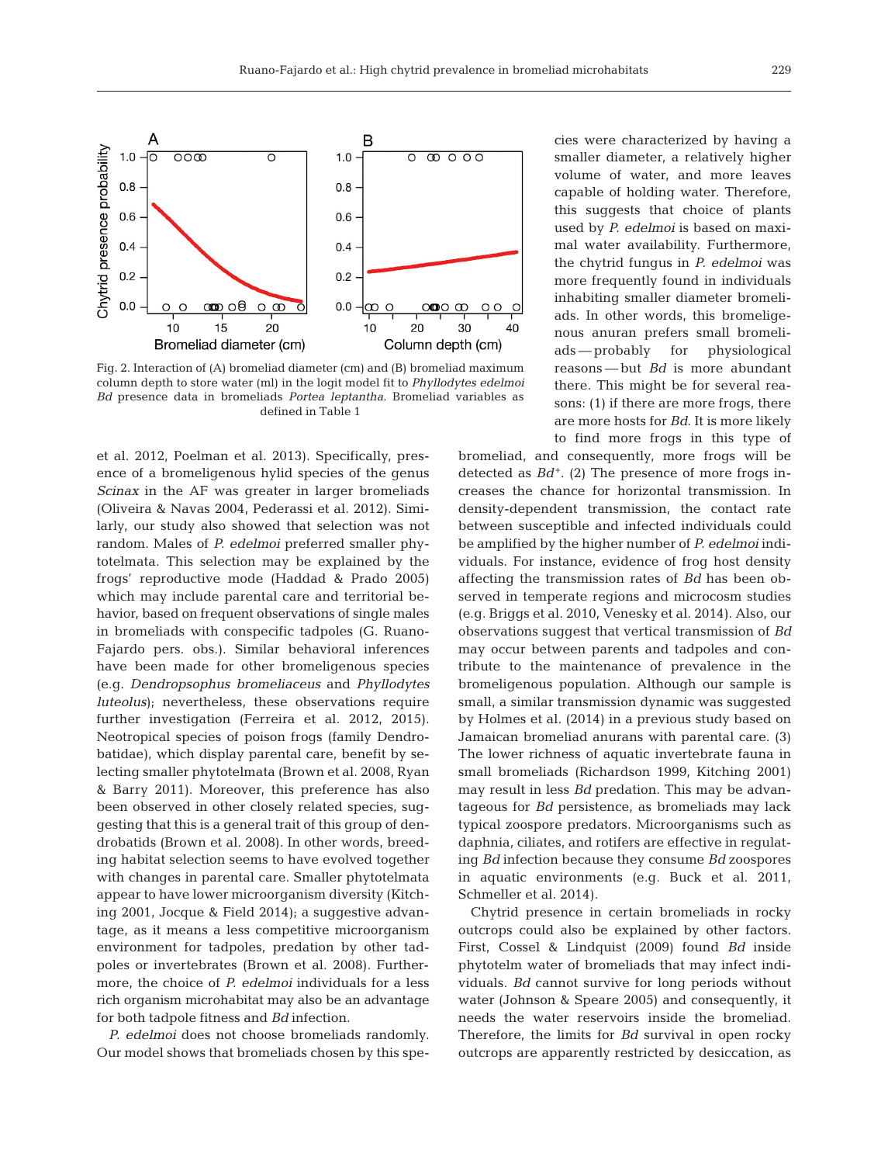

Fig. 2. Interaction of (A) bromeliad diameter (cm) and (B) bromeliad maximum column depth to store water (ml) in the logit model fit to *Phyllodytes edelmoi Bd* presence data in bromeliads *Portea leptantha*. Bromeliad variables as defined in Table 1

et al. 2012, Poelman et al. 2013). Specifically, presence of a bromeligenous hylid species of the genus *Scinax* in the AF was greater in larger bromeliads (Oliveira & Navas 2004, Pederassi et al. 2012). Similarly, our study also showed that selection was not random. Males of *P. edelmoi* preferred smaller phytotelmata. This selection may be explained by the frogs' reproductive mode (Haddad & Prado 2005) which may include parental care and territorial behavior, based on frequent observations of single males in bromeliads with conspecific tadpoles (G. Ruano-Fajardo pers. obs.). Similar behavioral inferences have been made for other bromeligenous species (e.g. *Dendropsophus bromeliaceus* and *Phyllodytes luteolus*); nevertheless, these observations require further investigation (Ferreira et al. 2012, 2015). Neotropical species of poison frogs (family Dendrobatidae), which display parental care, benefit by selecting smaller phytotelmata (Brown et al. 2008, Ryan & Barry 2011). Moreover, this preference has also been observed in other closely related species, suggesting that this is a general trait of this group of dendrobatids (Brown et al. 2008). In other words, breeding habitat selection seems to have evolved together with changes in parental care. Smaller phytotelmata appear to have lower microorganism diversity (Kitching 2001, Jocque & Field 2014); a suggestive advantage, as it means a less competitive microorganism environment for tadpoles, predation by other tadpoles or invertebrates (Brown et al. 2008). Furthermore, the choice of *P. edelmoi* individuals for a less rich organism microhabitat may also be an advantage for both tadpole fitness and *Bd* infection.

*P. edelmoi* does not choose bromeliads randomly. Our model shows that bromeliads chosen by this species were characterized by having a smaller diameter, a relatively higher volume of water, and more leaves capable of holding water. Therefore, this suggests that choice of plants used by *P. edelmoi* is based on maximal water availability. Furthermore, the chytrid fungus in *P. edelmoi* was more frequently found in individuals inhabiting smaller diameter bromeliads. In other words, this bromeligenous anuran prefers small bromeliads — probably for physiological reasons — but *Bd* is more abundant there. This might be for several reasons: (1) if there are more frogs, there are more hosts for *Bd*. It is more likely to find more frogs in this type of

bromeliad, and consequently, more frogs will be detected as  $Bd^+$ . (2) The presence of more frogs increases the chance for horizontal transmission. In density-dependent transmission, the contact rate between susceptible and infected individuals could be amplified by the higher number of *P. edelmoi* individuals. For instance, evidence of frog host density affecting the transmission rates of *Bd* has been ob served in temperate regions and microcosm studies (e.g. Briggs et al. 2010, Venesky et al. 2014). Also, our observations suggest that vertical transmission of *Bd* may occur between parents and tadpoles and contribute to the maintenance of prevalence in the bromeligenous population. Although our sample is small, a similar transmission dynamic was suggested by Holmes et al. (2014) in a previous study based on Jamaican bromeliad anurans with parental care. (3) The lower richness of aquatic invertebrate fauna in small bromeliads (Richardson 1999, Kitching 2001) may result in less *Bd* predation. This may be advantageous for *Bd* persistence, as bromeliads may lack typical zoospore predators. Microorganisms such as daphnia, ciliates, and rotifers are effective in regulating *Bd* infection because they consume *Bd* zoospores in aquatic environments (e.g. Buck et al. 2011, Schmeller et al. 2014).

Chytrid presence in certain bromeliads in rocky outcrops could also be explained by other factors. First, Cossel & Lindquist (2009) found *Bd* inside phytotelm water of bromeliads that may infect individuals. *Bd* cannot survive for long periods without water (Johnson & Speare 2005) and consequently, it needs the water reservoirs inside the bromeliad. Therefore, the limits for *Bd* survival in open rocky outcrops are apparently restricted by desiccation, as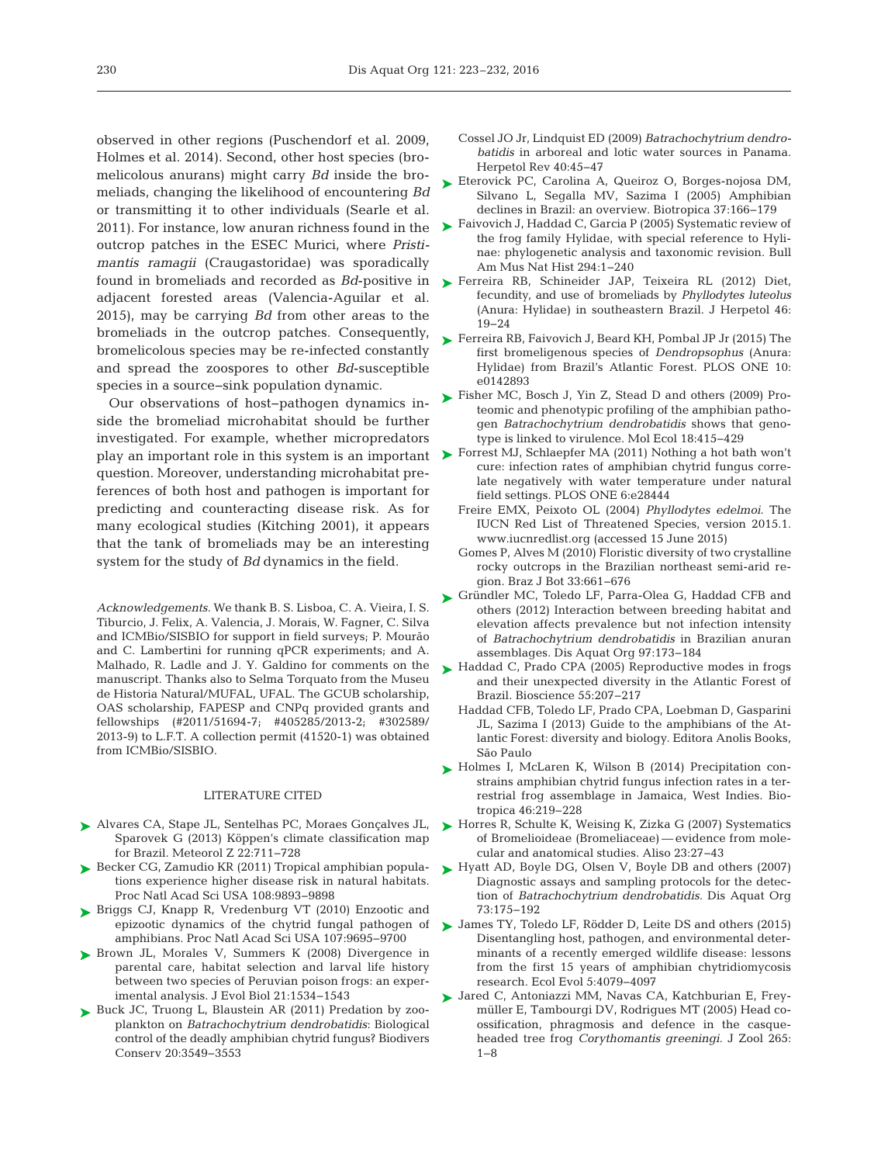observed in other regions (Puschendorf et al. 2009, Holmes et al. 2014). Second, other host species (bromelicolous anurans) might carry *Bd* inside the bromeliads, changing the likelihood of encountering *Bd* or transmitting it to other individuals (Searle et al. 2011). For instance, low anuran richness found in the outcrop patches in the ESEC Murici, where *Pristimantis ramagii* (Craugastoridae) was sporadically found in bromeliads and recorded as *Bd*-positive in adjacent forested areas (Valencia-Aguilar et al. 2015), may be carrying *Bd* from other areas to the bromeliads in the outcrop patches. Consequently, bromelicolous species may be re-infected constantly and spread the zoospores to other *Bd*-susceptible species in a source−sink population dynamic.

Our observations of host−pathogen dynamics in side the bromeliad microhabitat should be further investigated. For example, whether micropredators question. Moreover, understanding microhabitat pre ferences of both host and pathogen is important for predicting and counteracting disease risk. As for many ecological studies (Kitching 2001), it appears that the tank of bromeliads may be an interesting system for the study of *Bd* dynamics in the field.

*Acknowledgements*. We thank B. S. Lisboa, C. A. Vieira, I. S. Tiburcio, J. Felix, A. Valencia, J. Morais, W. Fagner, C. Silva and ICMBio/SISBIO for support in field surveys; P. Mourão and C. Lambertini for running qPCR experiments; and A. Malhado, R. Ladle and J. Y. Galdino for comments on the manuscript. Thanks also to Selma Torquato from the Museu de Historia Natural/MUFAL, UFAL. The GCUB scholarship, OAS scholarship, FAPESP and CNPq provided grants and fellowships (#2011/51694-7; #405285/2013-2; #302589/ 2013-9) to L.F.T. A collection permit (41520-1) was obtained from ICMBio/SISBIO.

## LITERATURE CITED

- [Alvares CA, Stape JL, Sentelhas PC, Moraes Gonçalves JL,](http://dx.doi.org/10.1127/0941-2948/2013/0507) ➤ Sparovek G (2013) Köppen's climate classification map for Brazil. Meteorol Z 22: 711−728
- ► [Becker CG, Zamudio KR \(2011\) Tropical amphibian popula](http://dx.doi.org/10.1073/pnas.1014497108)tions experience higher disease risk in natural habitats. Proc Natl Acad Sci USA 108:9893-9898
- ▶ [Briggs CJ, Knapp R, Vredenburg VT \(2010\) Enzootic and](http://dx.doi.org/10.1073/pnas.0912886107) epizootic dynamics of the chytrid fungal pathogen of amphibians. Proc Natl Acad Sci USA 107: 9695−9700
- ▶ [Brown JL, Morales V, Summers K \(2008\) Divergence in](http://dx.doi.org/10.1111/j.1420-9101.2008.01609.x) parental care, habitat selection and larval life history between two species of Peruvian poison frogs: an experimental analysis. J Evol Biol 21: 1534−1543
- ▶ [Buck JC, Truong L, Blaustein AR \(2011\) Predation by zoo](http://dx.doi.org/10.1007/s10531-011-0147-4)plankton on *Batrachochytrium dendrobatidis*: Biological control of the deadly amphibian chytrid fungus? Biodivers Conserv 20:3549-3553
- Cossel JO Jr, Lindquist ED (2009) *Batrachochytrium dendrobatidis* in arboreal and lotic water sources in Panama. Herpetol Rev 40:45-47
- ► [Eterovick PC, Carolina A, Queiroz O, Borges-nojosa DM,](http://dx.doi.org/10.1111/j.1744-7429.2005.00024.x) Silvano L, Segalla MV, Sazima I (2005) Amphibian declines in Brazil:an overview. Biotropica 37: 166−179
- ► [Faivovich J, Haddad C, Garcia P \(2005\) Systematic review of](http://dx.doi.org/10.1206/0003-0090(2005)294[0001%3ASROTFF]2.0.CO%3B2) the frog family Hylidae, with special reference to Hylinae: phylogenetic analysis and taxonomic revision. Bull Am Mus Nat Hist 294: 1−240
- [Ferreira RB, Schineider JAP, Teixeira RL \(2012\) Diet,](http://dx.doi.org/10.1670/09-040) ➤ fecundity, and use of bromeliads by *Phyllodytes luteolus* (Anura: Hylidae) in southeastern Brazil. J Herpetol 46: 19−24
- [Ferreira RB, Faivovich J, Beard KH, Pombal JP Jr \(2015\) The](http://dx.doi.org/10.1371/journal.pone.0142893) ➤ first bromeligenous species of *Dendropsophus* (Anura: Hylidae) from Brazil's Atlantic Forest. PLOS ONE 10: e0142893
- [Fisher MC, Bosch J, Yin Z, Stead D and others \(2009\) Pro-](http://dx.doi.org/10.1111/j.1365-294X.2008.04041.x)➤ teomic and phenotypic profiling of the amphibian pathogen *Batrachochytrium dendrobatidis* shows that genotype is linked to virulence. Mol Ecol 18:415−429
- play an important role in this system is an important [Forrest MJ, Schlaepfer MA \(2011\) Nothing a hot bath won't](http://dx.doi.org/10.1590/S0100-84042010000400014) cure: infection rates of amphibian chytrid fungus correlate negatively with water temperature under natural field settings. PLOS ONE 6:e28444
	- Freire EMX, Peixoto OL (2004) *Phyllodytes edelmoi*. The IUCN Red List of Threatened Species, version 2015.1. www.iucnredlist.org (accessed 15 June 2015)
	- Gomes P, Alves M (2010) Floristic diversity of two crystalline rocky outcrops in the Brazilian northeast semi-arid region. Braz J Bot 33: 661−676
	- ▶ [Gründler MC, Toledo LF, Parra-Olea G, Haddad CFB and](http://dx.doi.org/10.3354/dao02413) others (2012) Interaction between breeding habitat and elevation affects prevalence but not infection intensity of *Batrachochytrium dendrobatidis* in Brazilian anuran assemblages. Dis Aquat Org 97: 173−184
	- ► [Haddad C, Prado CPA \(2005\) Reproductive modes in frogs](http://dx.doi.org/10.1641/0006-3568(2005)055[0207%3ARMIFAT]2.0.CO%3B2) and their unexpected diversity in the Atlantic Forest of Brazil. Bioscience 55: 207−217
		- Haddad CFB, Toledo LF, Prado CPA, Loebman D, Gasparini JL, Sazima I (2013) Guide to the amphibians of the Atlantic Forest: diversity and biology. Editora Anolis Books, São Paulo
	- ▶ [Holmes I, McLaren K, Wilson B \(2014\) Precipitation con](http://dx.doi.org/10.1111/btp.12093)strains amphibian chytrid fungus infection rates in a terrestrial frog assemblage in Jamaica, West Indies. Bio tropica 46:219-228
	- ► [Horres R, Schulte K, Weising K, Zizka G \(2007\) Systematics](http://dx.doi.org/10.5642/aliso.20072301.05) of Bromelioideae (Bromeliaceae) — evidence from mole cular and anatomical studies. Aliso 23:27-43
	- ► [Hyatt AD, Boyle DG, Olsen V, Boyle DB and others \(2007\)](http://dx.doi.org/10.3354/dao073175) Diagnostic assays and sampling protocols for the detection of *Batrachochytrium dendrobatidis.* Dis Aquat Org 73: 175−192
	- ▶ [James TY, Toledo LF, Rödder D, Leite DS and others \(2015\)](http://dx.doi.org/10.1002/ece3.1672) Disentangling host, pathogen, and environmental determinants of a recently emerged wildlife disease: lessons from the first 15 years of amphibian chytridiomycosis research. Ecol Evol 5: 4079−4097
	- ▶ Jared C, Antoniazzi MM, Navas CA, Katchburian E, Freymüller E, Tambourgi DV, Rodrigues MT (2005) Head coossification, phragmosis and defence in the casqueheaded tree frog *Corythomantis greeningi.* J Zool 265: 1−8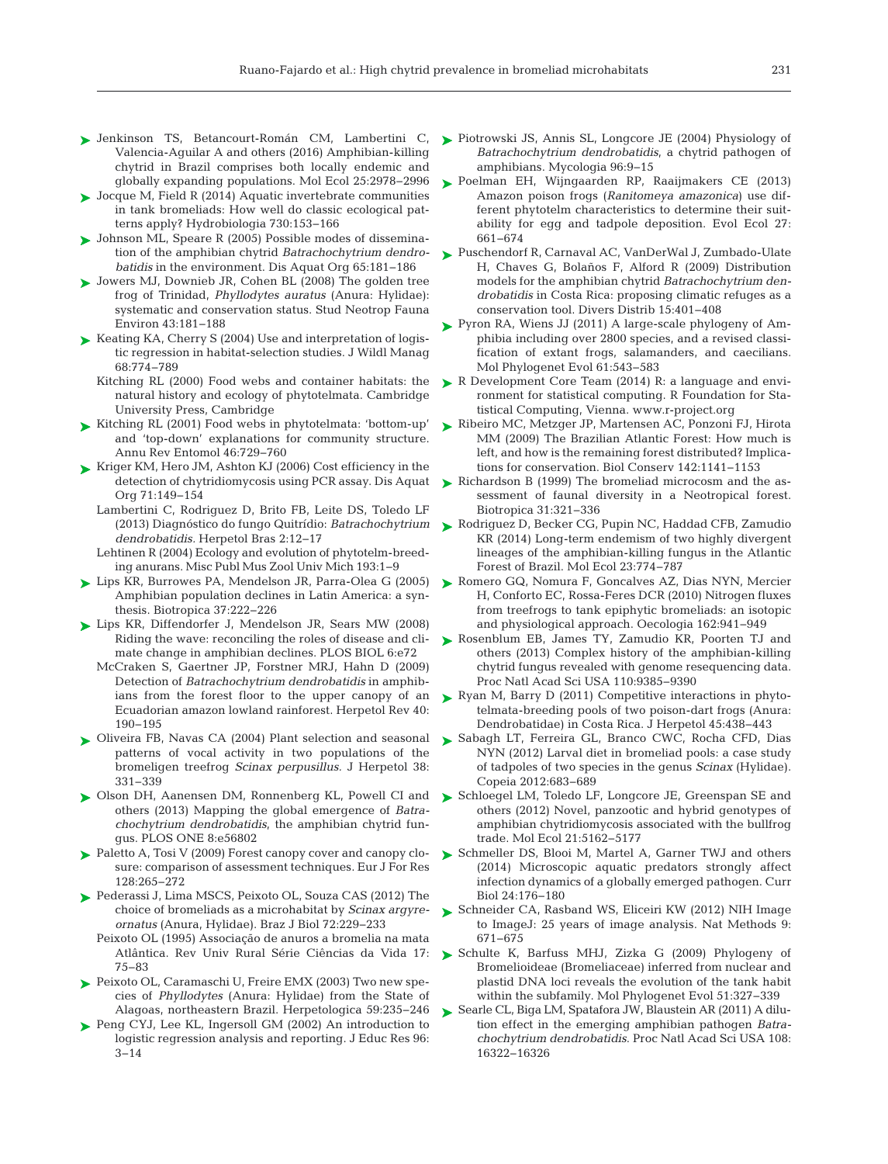- ► [Jenkinson TS, Betancourt-Román CM, Lambertini C,](http://dx.doi.org/10.1111/mec.13599) ► [Piotrowski JS, Annis SL, Longcore JE \(2004\) Physiology of](http://dx.doi.org/10.2307/3761981) Valencia-Aguilar A and others (2016) Amphibian-killing chytrid in Brazil comprises both locally endemic and globally expanding populations. Mol Ecol 25:2978-2996
- ► [Jocque M, Field R \(2014\) Aquatic invertebrate communities](http://dx.doi.org/10.1007/s10750-014-1831-7) in tank bromeliads: How well do classic ecological patterns apply? Hydrobiologia 730: 153−166
- ► [Johnson ML, Speare R \(2005\) Possible modes of dissemina](http://dx.doi.org/10.3354/dao065181)tion of the amphibian chytrid *Batrachochytrium dendrobatidis* in the environment. Dis Aquat Org 65:181-186
- ▶ [Jowers MJ, Downieb JR, Cohen BL \(2008\) The golden tree](http://dx.doi.org/10.1080/01650520801965490) frog of Trinidad, *Phyllodytes auratus* (Anura: Hylidae): systematic and conservation status. Stud Neotrop Fauna Environ 43: 181−188
- ► [Keating KA, Cherry S \(2004\) Use and interpretation of logis](http://dx.doi.org/10.2193/0022-541X(2004)068[0774%3AUAIOLR]2.0.CO%3B2)tic regression in habitat-selection studies. J Wildl Manag 68: 774−789
	- Kitching RL (2000) Food webs and container habitats: the natural history and ecology of phytotelmata. Cambridge University Press, Cambridge
- ► Kitching RL (2001) Food webs in phytotelmata: 'bottom-up' and 'top-down' explanations for community structure. Annu Rev Entomol 46: 729−760
- ► [Kriger KM, Hero JM, Ashton KJ \(2006\) Cost efficiency in the](http://dx.doi.org/10.3354/dao071149) detection of chytridiomycosis using PCR assay. Dis Aquat Org 71: 149−154
	- Lambertini C, Rodriguez D, Brito FB, Leite DS, Toledo LF (2013) Diagnóstico do fungo Quitrídio: *Batrachochytrium dendrobatidis.* Herpetol Bras 2: 12−17
	- Lehtinen R (2004) Ecology and evolution of phytotelm-breeding anurans. Misc Publ Mus Zool Univ Mich 193: 1−9
- [Lips KR, Burrowes PA, Mendelson JR, Parra-Olea G \(2005\)](http://dx.doi.org/10.1111/j.1744-7429.2005.00029.x) ➤ Amphibian population declines in Latin America: a synthesis. Biotropica 37:222−226
- [Lips KR, Diffendorfer J, Mendelson JR, Sears MW \(2008\)](http://dx.doi.org/10.1371/journal.pbio.0060072) ➤ Riding the wave: reconciling the roles of disease and climate change in amphibian declines. PLOS BIOL 6:e72
	- McCraken S, Gaertner JP, Forstner MRJ, Hahn D (2009) Detection of *Batrachochytrium dendrobatidis* in amphibians from the forest floor to the upper canopy of an Ecuadorian amazon lowland rainforest. Herpetol Rev 40: 190−195
- ► [Oliveira FB, Navas CA \(2004\) Plant selection and seasonal](http://dx.doi.org/10.1670/205-03A) patterns of vocal activity in two populations of the bromeligen treefrog *Scinax perpusillus.* J Herpetol 38: 331−339
- others (2013) Mapping the global emergence of *Batrachochytrium dendrobatidis*, the amphibian chytrid fungus. PLOS ONE 8:e56802
- ► [Paletto A, Tosi V \(2009\) Forest canopy cover and canopy clo](http://dx.doi.org/10.1007/s10342-009-0262-x)sure: comparison of assessment techniques. Eur J For Res 128: 265−272
- ▶ [Pederassi J, Lima MSCS, Peixoto OL, Souza CAS \(2012\) The](http://dx.doi.org/10.1590/S1519-69842012000200001) choice of bromeliads as a microhabitat by *Scinax argyreornatus* (Anura, Hylidae). Braz J Biol 72: 229−233
	- Peixoto OL (1995) Associação de anuros a bromelia na mata Atlântica. Rev Univ Rural Série Ciências da Vida 17: 75−83
- ▶ [Peixoto OL, Caramaschi U, Freire EMX \(2003\) Two new spe](http://dx.doi.org/10.1655/0018-0831(2003)059[0235%3ATNSOPA]2.0.CO%3B2)cies of *Phyllodytes* (Anura: Hylidae) from the State of Alagoas, northeastern Brazil. Herpetologica 59:235-246
- ▶ [Peng CYJ, Lee KL, Ingersoll GM \(2002\) An introduction to](http://dx.doi.org/10.1080/00220670209598786) logistic regression analysis and reporting. J Educ Res 96: 3−14
- *Batrachochytrium dendrobatidis*, a chytrid pathogen of amphibians. Mycologia 96:9-15
- ▶ [Poelman EH, Wijngaarden RP, Raaijmakers CE \(2013\)](http://dx.doi.org/10.1007/s10682-013-9633-3) Amazon poison frogs (*Ranitomeya amazonica*) use different phytotelm characteristics to determine their suitability for egg and tadpole deposition. Evol Ecol 27: 661−674
- ► [Puschendorf R, Carnaval AC, VanDerWal J, Zumbado-Ulate](http://dx.doi.org/10.1111/j.1472-4642.2008.00548.x) H, Chaves G, Bolaños F, Alford R (2009) Distribution models for the amphibian chytrid *Batrachochytrium den*drobatidis in Costa Rica: proposing climatic refuges as a conservation tool. Divers Distrib 15: 401−408
- ► Pyron RA, Wiens JJ (2011) A large-scale phylogeny of Amphibia including over 2800 species, and a revised classification of extant frogs, salamanders, and caecilians. Mol Phylogenet Evol 61:543-583
- ► R Development Core Team (2014) R: a language and environment for statistical computing. R Foundation for Statistical Computing, Vienna. www.r-project.org
- [Ribeiro MC, Metzger JP, Martensen AC, Ponzoni FJ, Hirota](http://dx.doi.org/10.1016/j.biocon.2009.02.021) ➤ MM (2009) The Brazilian Atlantic Forest: How much is left, and how is the remaining forest distributed? Implications for conservation. Biol Conserv 142: 1141−1153
- ► Richardson B (1999) The bromeliad microcosm and the assessment of faunal diversity in a Neotropical forest. Biotropica 31: 321−336
- ▶ [Rodriguez D, Becker CG, Pupin NC, Haddad CFB, Zamudio](http://dx.doi.org/10.1111/mec.12615) KR (2014) Long-term endemism of two highly divergent lineages of the amphibian-killing fungus in the Atlantic Forest of Brazil. Mol Ecol 23: 774−787
- ▶ [Romero GQ, Nomura F, Goncalves AZ, Dias NYN, Mercier](http://dx.doi.org/10.1007/s00442-009-1533-4) H, Conforto EC, Rossa-Feres DCR (2010) Nitrogen fluxes from treefrogs to tank epiphytic bromeliads:an isotopic and physiological approach. Oecologia 162:941-949
- ▶ [Rosenblum EB, James TY, Zamudio KR, Poorten TJ and](http://dx.doi.org/10.1073/pnas.1300130110) others (2013) Complex history of the amphibian-killing chytrid fungus revealed with genome resequencing data. Proc Natl Acad Sci USA 110:9385-9390
- ► Ryan M, Barry D (2011) Competitive interactions in phytotelmata-breeding pools of two poison-dart frogs (Anura: Dendrobatidae) in Costa Rica. J Herpetol 45: 438−443
- ▶ [Sabagh LT, Ferreira GL, Branco CWC, Rocha CFD, Dias](http://dx.doi.org/10.1643/CE-12-012) NYN (2012) Larval diet in bromeliad pools: a case study of tadpoles of two species in the genus *Scinax* (Hylidae). Copeia 2012:683-689
- ► [Olson DH, Aanensen DM, Ronnenberg KL, Powell CI and](http://dx.doi.org/10.1371/journal.pone.0056802) ► [Schloegel LM, Toledo LF, Longcore JE, Greenspan SE and](http://dx.doi.org/10.1111/j.1365-294X.2012.05710.x) others (2012) Novel, panzootic and hybrid genotypes of amphibian chytridiomycosis associated with the bullfrog trade. Mol Ecol 21: 5162−5177
	- ► [Schmeller DS, Blooi M, Martel A, Garner TWJ and others](http://dx.doi.org/10.1016/j.cub.2013.11.032) (2014) Microscopic aquatic predators strongly affect infection dynamics of a globally emerged pathogen. Curr Biol 24: 176−180
	- ► [Schneider CA, Rasband WS, Eliceiri KW \(2012\) NIH Image](http://dx.doi.org/10.1038/nmeth.2089) to ImageJ:25 years of image analysis. Nat Methods 9: 671−675
	- [Schulte K, Barfuss MHJ, Zizka G \(2009\) Phylogeny of](http://dx.doi.org/10.1016/j.ympev.2009.02.003) ➤ Bromelioideae (Bromeliaceae) inferred from nuclear and plastid DNA loci reveals the evolution of the tank habit within the subfamily. Mol Phylogenet Evol 51:327-339
	- ► [Searle CL, Biga LM, Spatafora JW, Blaustein AR \(2011\) A dilu](http://dx.doi.org/10.1073/pnas.1108490108)tion effect in the emerging amphibian pathogen *Batrachochytrium dendrobatidis*. Proc Natl Acad Sci USA 108: 16322−16326